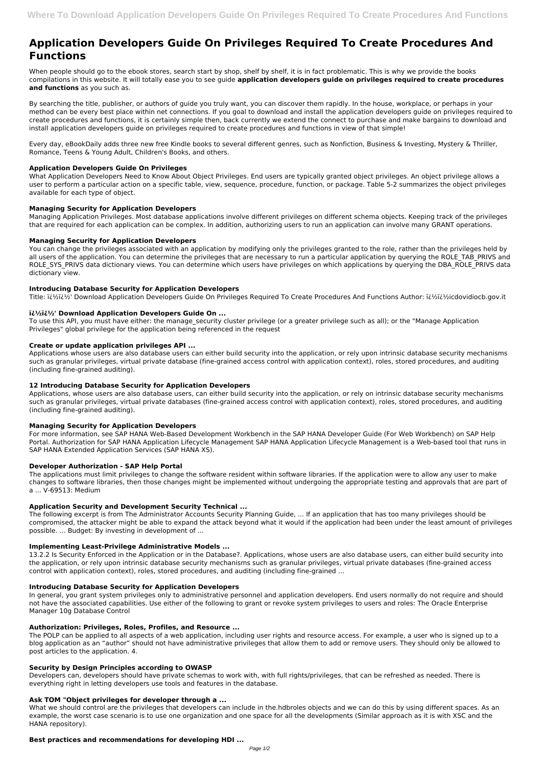# **Application Developers Guide On Privileges Required To Create Procedures And Functions**

When people should go to the ebook stores, search start by shop, shelf by shelf, it is in fact problematic. This is why we provide the books compilations in this website. It will totally ease you to see guide **application developers guide on privileges required to create procedures and functions** as you such as.

By searching the title, publisher, or authors of guide you truly want, you can discover them rapidly. In the house, workplace, or perhaps in your method can be every best place within net connections. If you goal to download and install the application developers guide on privileges required to create procedures and functions, it is certainly simple then, back currently we extend the connect to purchase and make bargains to download and install application developers guide on privileges required to create procedures and functions in view of that simple!

Every day, eBookDaily adds three new free Kindle books to several different genres, such as Nonfiction, Business & Investing, Mystery & Thriller, Romance, Teens & Young Adult, Children's Books, and others.

You can change the privileges associated with an application by modifying only the privileges granted to the role, rather than the privileges held by all users of the application. You can determine the privileges that are necessary to run a particular application by querying the ROLE\_TAB\_PRIVS and ROLE SYS PRIVS data dictionary views. You can determine which users have privileges on which applications by querying the DBA\_ROLE\_PRIVS data dictionary view.

# **Application Developers Guide On Privileges**

What Application Developers Need to Know About Object Privileges. End users are typically granted object privileges. An object privilege allows a user to perform a particular action on a specific table, view, sequence, procedure, function, or package. Table 5-2 summarizes the object privileges available for each type of object.

To use this API, you must have either: the manage security cluster privilege (or a greater privilege such as all); or the "Manage Application Privileges" global privilege for the application being referenced in the request

# **Managing Security for Application Developers**

Managing Application Privileges. Most database applications involve different privileges on different schema objects. Keeping track of the privileges that are required for each application can be complex. In addition, authorizing users to run an application can involve many GRANT operations.

# **Managing Security for Application Developers**

# **Introducing Database Security for Application Developers**

Title:  $i\partial Y$ i $i\partial Y$  Download Application Developers Guide On Privileges Required To Create Procedures And Functions Author:  $i\partial Y$ icdovidiocb.gov.it

### $i\lambda^{1/2}$  $i\lambda^{1/2}$  Download Application Developers Guide On ...

# **Create or update application privileges API ...**

Applications whose users are also database users can either build security into the application, or rely upon intrinsic database security mechanisms such as granular privileges, virtual private database (fine-grained access control with application context), roles, stored procedures, and auditing (including fine-grained auditing).

### **12 Introducing Database Security for Application Developers**

Applications, whose users are also database users, can either build security into the application, or rely on intrinsic database security mechanisms such as granular privileges, virtual private databases (fine-grained access control with application context), roles, stored procedures, and auditing (including fine-grained auditing).

# **Managing Security for Application Developers**

For more information, see SAP HANA Web-Based Development Workbench in the SAP HANA Developer Guide (For Web Workbench) on SAP Help Portal. Authorization for SAP HANA Application Lifecycle Management SAP HANA Application Lifecycle Management is a Web-based tool that runs in SAP HANA Extended Application Services (SAP HANA XS).

# **Developer Authorization - SAP Help Portal**

The applications must limit privileges to change the software resident within software libraries. If the application were to allow any user to make changes to software libraries, then those changes might be implemented without undergoing the appropriate testing and approvals that are part of a ... V-69513: Medium

### **Application Security and Development Security Technical ...**

The following excerpt is from The Administrator Accounts Security Planning Guide, ... If an application that has too many privileges should be compromised, the attacker might be able to expand the attack beyond what it would if the application had been under the least amount of privileges possible. ... Budget: By investing in development of ...

### **Implementing Least-Privilege Administrative Models ...**

13.2.2 Is Security Enforced in the Application or in the Database?. Applications, whose users are also database users, can either build security into the application, or rely upon intrinsic database security mechanisms such as granular privileges, virtual private databases (fine-grained access control with application context), roles, stored procedures, and auditing (including fine-grained ...

#### **Introducing Database Security for Application Developers**

In general, you grant system privileges only to administrative personnel and application developers. End users normally do not require and should not have the associated capabilities. Use either of the following to grant or revoke system privileges to users and roles: The Oracle Enterprise Manager 10g Database Control

#### **Authorization: Privileges, Roles, Profiles, and Resource ...**

The POLP can be applied to all aspects of a web application, including user rights and resource access. For example, a user who is signed up to a blog application as an "author" should not have administrative privileges that allow them to add or remove users. They should only be allowed to post articles to the application. 4.

#### **Security by Design Principles according to OWASP**

Developers can, developers should have private schemas to work with, with full rights/privileges, that can be refreshed as needed. There is everything right in letting developers use tools and features in the database.

#### **Ask TOM "Object privileges for developer through a ...**

What we should control are the privileges that developers can include in the.hdbroles objects and we can do this by using different spaces. As an example, the worst case scenario is to use one organization and one space for all the developments (Similar approach as it is with XSC and the HANA repository).

## **Best practices and recommendations for developing HDI ...**